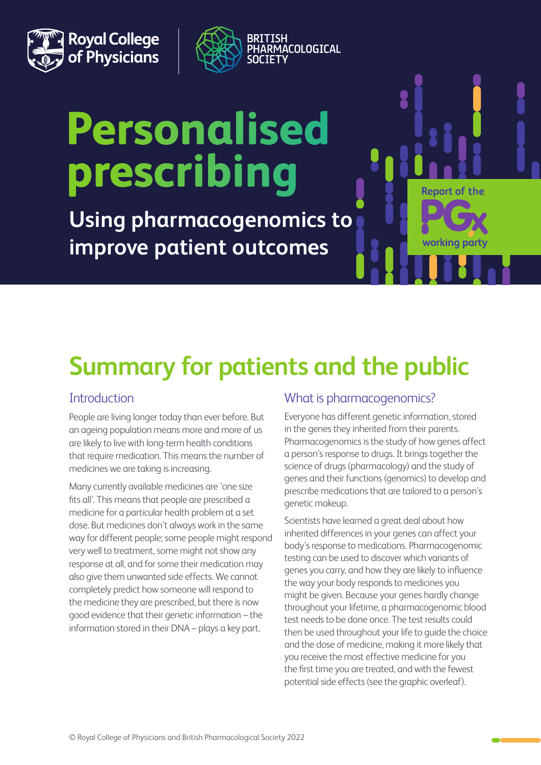



# **Personalised** prescribing

**Using pharmacogenomics to improve patient outcomes**

# **Summary for patients and the public**

# **Introduction**

People are living longer today than ever before. But an ageing population means more and more of us are likely to live with long-term health conditions that require medication. This means the number of medicines we are taking is increasing.

Many currently available medicines are 'one size fits all'. This means that people are prescribed a medicine for a particular health problem at a set dose. But medicines don't always work in the same way for different people; some people might respond very well to treatment, some might not show any response at all, and for some their medication may also give them unwanted side effects. We cannot completely predict how someone will respond to the medicine they are prescribed, but there is now good evidence that their genetic information – the information stored in their DNA – plays a key part.

# What is pharmacogenomics?

Everyone has different genetic information, stored in the genes they inherited from their parents. Pharmacogenomics is the study of how genes affect a person's response to drugs. It brings together the science of drugs (pharmacology) and the study of genes and their functions (genomics) to develop and prescribe medications that are tailored to a person's genetic makeup.

**Report of the** 

working par

Scientists have learned a great deal about how inherited differences in your genes can affect your body's response to medications. Pharmacogenomic testing can be used to discover which variants of genes you carry, and how they are likely to influence the way your body responds to medicines you might be given. Because your genes hardly change throughout your lifetime, a pharmacogenomic blood test needs to be done once. The test results could then be used throughout your life to guide the choice and the dose of medicine, making it more likely that you receive the most effective medicine for you the first time you are treated, and with the fewest potential side effects (see the graphic overleaf).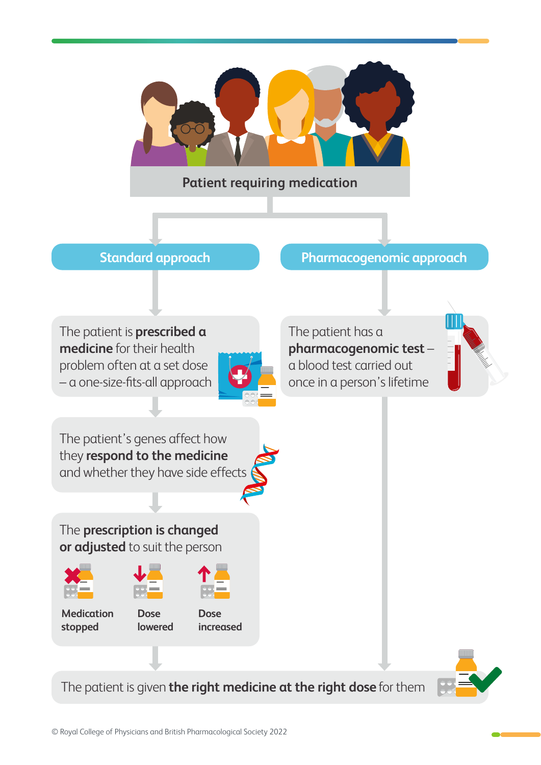

**Patient requiring medication** 

# **Standard approach by Pharmacogenomic approach**

The patient is **prescribed a medicine** for their health problem often at a set dose – a one-size-fits-all approach



The patient has a **pharmacogenomic test** – a blood test carried out once in a person's lifetime



The patient's genes affect how they **respond to the medicine** and whether they have side effects

The **prescription is changed or adjusted** to suit the person







**Medication stopped** 

**Dose lowered** 



The patient is given **the right medicine at the right dose** for them